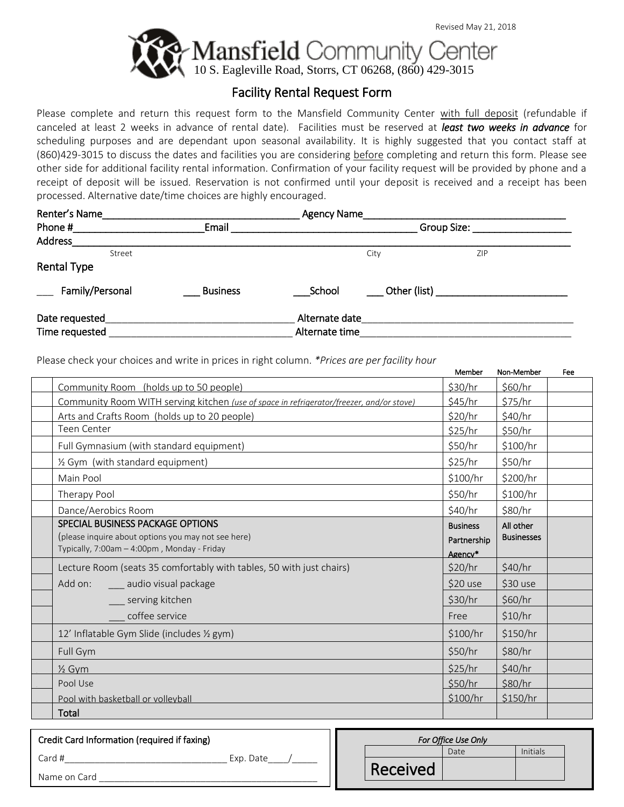

### Facility Rental Request Form

Please complete and return this request form to the Mansfield Community Center with full deposit (refundable if canceled at least 2 weeks in advance of rental date)*.* Facilities must be reserved at *least two weeks in advance* for scheduling purposes and are dependant upon seasonal availability. It is highly suggested that you contact staff at (860)429-3015 to discuss the dates and facilities you are considering before completing and return this form. Please see other side for additional facility rental information. Confirmation of your facility request will be provided by phone and a receipt of deposit will be issued. Reservation is not confirmed until your deposit is received and a receipt has been processed. Alternative date/time choices are highly encouraged.

| Renter's Name      |                 | <b>Agency Name</b> |              |            |  |  |
|--------------------|-----------------|--------------------|--------------|------------|--|--|
| Phone #            | Email           | Group Size:        |              |            |  |  |
| <b>Address</b>     |                 |                    |              |            |  |  |
| Street             |                 |                    | City         | <b>ZIP</b> |  |  |
| <b>Rental Type</b> |                 |                    |              |            |  |  |
| Family/Personal    | <b>Business</b> | School             | Other (list) |            |  |  |
| Date requested     |                 | Alternate date     |              |            |  |  |
| Time requested     |                 | Alternate time     |              |            |  |  |

Please check your choices and write in prices in right column. *\*Prices are per facility hour*

|                                                                                                                                        | Member                                    | Non-Member                     | Fee |
|----------------------------------------------------------------------------------------------------------------------------------------|-------------------------------------------|--------------------------------|-----|
| Community Room (holds up to 50 people)                                                                                                 | \$30/hr                                   | \$60/hr                        |     |
| Community Room WITH serving kitchen (use of space in refrigerator/freezer, and/or stove)                                               | \$45/hr                                   | \$75/hr                        |     |
| Arts and Crafts Room (holds up to 20 people)                                                                                           | \$20/hr                                   | \$40/hr                        |     |
| Teen Center                                                                                                                            | \$25/hr                                   | \$50/hr                        |     |
| Full Gymnasium (with standard equipment)                                                                                               | \$50/hr                                   | \$100/hr                       |     |
| 1/2 Gym (with standard equipment)                                                                                                      | \$25/hr                                   | \$50/hr                        |     |
| Main Pool                                                                                                                              | \$100/hr                                  | \$200/hr                       |     |
| Therapy Pool                                                                                                                           | \$50/hr                                   | \$100/hr                       |     |
| Dance/Aerobics Room                                                                                                                    | \$40/hr                                   | \$80/hr                        |     |
| SPECIAL BUSINESS PACKAGE OPTIONS<br>(please inquire about options you may not see here)<br>Typically, 7:00am - 4:00pm, Monday - Friday | <b>Business</b><br>Partnership<br>Agency* | All other<br><b>Businesses</b> |     |
| Lecture Room (seats 35 comfortably with tables, 50 with just chairs)                                                                   | \$20/hr                                   | \$40/hr                        |     |
| Add on:<br>____ audio visual package                                                                                                   | \$20 use                                  | \$30 use                       |     |
| serving kitchen                                                                                                                        | \$30/hr                                   | \$60/hr                        |     |
| coffee service                                                                                                                         | Free                                      | \$10/hr                        |     |
| 12' Inflatable Gym Slide (includes 1/2 gym)                                                                                            | \$100/hr                                  | \$150/hr                       |     |
| Full Gym                                                                                                                               | \$50/hr                                   | \$80/hr                        |     |
| $\frac{1}{2}$ Gym                                                                                                                      | \$25/hr                                   | \$40/hr                        |     |
| Pool Use                                                                                                                               | \$50/hr                                   | \$80/hr                        |     |
| Pool with basketball or volleyball                                                                                                     | \$100/hr                                  | \$150/hr                       |     |
| Total                                                                                                                                  |                                           |                                |     |

| Credit Card Information (required if faxing) |           |  |
|----------------------------------------------|-----------|--|
| Card #                                       | Exp. Date |  |
| Name on Card                                 |           |  |

| For Office Use Only |          |      |          |  |
|---------------------|----------|------|----------|--|
|                     |          | Date | Initials |  |
|                     | Received |      |          |  |
|                     |          |      |          |  |